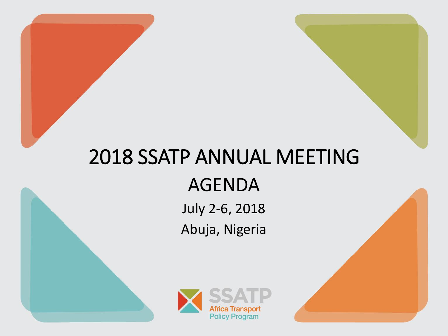# 2018 SSATP ANNUAL MEETING AGENDA

July 2-6, 2018 Abuja, Nigeria

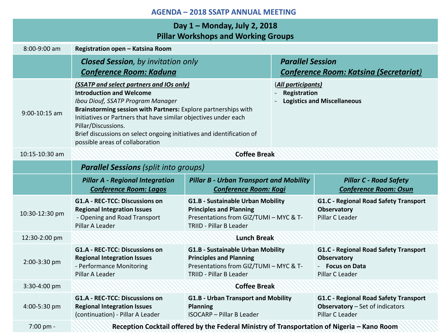# **Day 1 – Monday, July 2, 2018 Pillar Workshops and Working Groups**

| 8:00-9:00 am   | Registration open - Katsina Room                                                                                                                                                                                                                                                                                                                                                         |                                                                                                                                                 |                                                                          |                                                                                                    |
|----------------|------------------------------------------------------------------------------------------------------------------------------------------------------------------------------------------------------------------------------------------------------------------------------------------------------------------------------------------------------------------------------------------|-------------------------------------------------------------------------------------------------------------------------------------------------|--------------------------------------------------------------------------|----------------------------------------------------------------------------------------------------|
|                | <b>Closed Session</b> , by invitation only<br><b>Conference Room: Kaduna</b>                                                                                                                                                                                                                                                                                                             |                                                                                                                                                 | <b>Parallel Session</b><br><b>Conference Room: Katsina (Secretariat)</b> |                                                                                                    |
| 9:00-10:15 am  | (SSATP and select partners and IOs only)<br><b>Introduction and Welcome</b><br>Ibou Diouf, SSATP Program Manager<br>Brainstorming session with Partners: Explore partnerships with<br>Initiatives or Partners that have similar objectives under each<br>Pillar/Discussions.<br>Brief discussions on select ongoing initiatives and identification of<br>possible areas of collaboration |                                                                                                                                                 | (All participants)<br>Registration<br><b>Logistics and Miscellaneous</b> |                                                                                                    |
| 10:15-10:30 am | <b>Coffee Break</b>                                                                                                                                                                                                                                                                                                                                                                      |                                                                                                                                                 |                                                                          |                                                                                                    |
|                | <b>Parallel Sessions (split into groups)</b>                                                                                                                                                                                                                                                                                                                                             |                                                                                                                                                 |                                                                          |                                                                                                    |
|                | <b>Pillar A - Regional Integration</b><br><b>Conference Room: Lagos</b>                                                                                                                                                                                                                                                                                                                  | <b>Pillar B - Urban Transport and Mobility</b><br><b>Conference Room: Kogi</b>                                                                  |                                                                          | <b>Pillar C - Road Safety</b><br><b>Conference Room: Osun</b>                                      |
| 10:30-12:30 pm | <b>G1.A - REC-TCC: Discussions on</b><br><b>Regional Integration Issues</b><br>- Opening and Road Transport<br>Pillar A Leader                                                                                                                                                                                                                                                           | <b>G1.B - Sustainable Urban Mobility</b><br><b>Principles and Planning</b><br>Presentations from GIZ/TUMI - MYC & T-<br>TRIID - Pillar B Leader |                                                                          | G1.C - Regional Road Safety Transport<br><b>Observatory</b><br>Pillar C Leader                     |
| 12:30-2:00 pm  | <b>Lunch Break</b>                                                                                                                                                                                                                                                                                                                                                                       |                                                                                                                                                 |                                                                          |                                                                                                    |
| 2:00-3:30 pm   | <b>G1.A - REC-TCC: Discussions on</b><br><b>Regional Integration Issues</b><br>- Performance Monitoring<br>Pillar A Leader                                                                                                                                                                                                                                                               | <b>G1.B - Sustainable Urban Mobility</b><br><b>Principles and Planning</b><br>Presentations from GIZ/TUMI - MYC & T-<br>TRIID - Pillar B Leader |                                                                          | G1.C - Regional Road Safety Transport<br><b>Observatory</b><br>- Focus on Data<br>Pillar C Leader  |
| 3:30-4:00 pm   | <b>Coffee Break</b>                                                                                                                                                                                                                                                                                                                                                                      |                                                                                                                                                 |                                                                          |                                                                                                    |
| 4:00-5:30 pm   | <b>G1.A - REC-TCC: Discussions on</b><br><b>Regional Integration Issues</b><br>(continuation) - Pillar A Leader                                                                                                                                                                                                                                                                          | <b>G1.B - Urban Transport and Mobility</b><br><b>Planning</b><br><b>ISOCARP</b> - Pillar B Leader                                               |                                                                          | G1.C - Regional Road Safety Transport<br><b>Observatory</b> - Set of indicators<br>Pillar C Leader |
| 7:00 pm -      | Reception Cocktail offered by the Federal Ministry of Transportation of Nigeria - Kano Room                                                                                                                                                                                                                                                                                              |                                                                                                                                                 |                                                                          |                                                                                                    |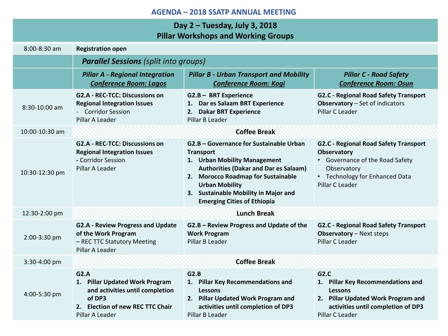| Day 2 - Tuesday, July 3, 2018              |
|--------------------------------------------|
| <b>Pillar Workshops and Working Groups</b> |

| $8:00 - 8:30$ am | <b>Registration open</b>                                                                                                                   |                                                                                                                                                                                                                                                                                          |                                                                                                                                                                               |
|------------------|--------------------------------------------------------------------------------------------------------------------------------------------|------------------------------------------------------------------------------------------------------------------------------------------------------------------------------------------------------------------------------------------------------------------------------------------|-------------------------------------------------------------------------------------------------------------------------------------------------------------------------------|
|                  | <b>Parallel Sessions</b> (split into groups)                                                                                               |                                                                                                                                                                                                                                                                                          |                                                                                                                                                                               |
|                  | <b>Pillar A - Regional Integration</b><br><b>Conference Room: Lagos</b>                                                                    | <b>Pillar B - Urban Transport and Mobility</b><br><b>Conference Room: Kogi</b>                                                                                                                                                                                                           | <b>Pillar C - Road Safety</b><br><b>Conference Room: Osun</b>                                                                                                                 |
| 8:30-10:00 am    | <b>G2.A - REC-TCC: Discussions on</b><br><b>Regional Integration Issues</b><br>- Corridor Session<br>Pillar A Leader                       | G2.B - BRT Experience<br>1. Dar es Salaam BRT Experience<br>2. Dakar BRT Experience<br>Pillar B Leader                                                                                                                                                                                   | <b>G2.C - Regional Road Safety Transport</b><br><b>Observatory</b> - Set of indicators<br>Pillar C Leader                                                                     |
| 10:00-10:30 am   |                                                                                                                                            | <b>Coffee Break</b>                                                                                                                                                                                                                                                                      |                                                                                                                                                                               |
| 10:30-12:30 pm   | <b>G2.A - REC-TCC: Discussions on</b><br><b>Regional Integration Issues</b><br>- Corridor Session<br>Pillar A Leader                       | G2.B - Governance for Sustainable Urban<br><b>Transport</b><br>1. Urban Mobility Management<br><b>Authorities (Dakar and Dar es Salaam)</b><br>2. Morocco Roadmap for Sustainable<br><b>Urban Mobility</b><br>3. Sustainable Mobility in Major and<br><b>Emerging Cities of Ethiopia</b> | <b>G2.C - Regional Road Safety Transport</b><br>Observatory<br>Governance of the Road Safety<br>$\bullet$<br>Observatory<br>• Technology for Enhanced Data<br>Pillar C Leader |
| 12:30-2:00 pm    |                                                                                                                                            | <b>Lunch Break</b>                                                                                                                                                                                                                                                                       |                                                                                                                                                                               |
| 2:00-3:30 pm     | <b>G2.A - Review Progress and Update</b><br>of the Work Program<br>- REC TTC Statutory Meeting<br>Pillar A Leader                          | G2.B - Review Progress and Update of the<br><b>Work Program</b><br>Pillar B Leader                                                                                                                                                                                                       | <b>G2.C - Regional Road Safety Transport</b><br><b>Observatory</b> - Next steps<br>Pillar C Leader                                                                            |
| 3:30-4:00 pm     |                                                                                                                                            | <b>Coffee Break</b>                                                                                                                                                                                                                                                                      |                                                                                                                                                                               |
| 4:00-5:30 pm     | G2.A<br>1. Pillar Updated Work Program<br>and activities until completion<br>of DP3<br>2. Election of new REC TTC Chair<br>Pillar A Leader | G2.B<br>1. Pillar Key Recommendations and<br><b>Lessons</b><br>2. Pillar Updated Work Program and<br>activities until completion of DP3<br>Pillar B Leader                                                                                                                               | G2.C<br>1. Pillar Key Recommendations and<br><b>Lessons</b><br>2. Pillar Updated Work Program and<br>activities until completion of DP3<br>Pillar C Leader                    |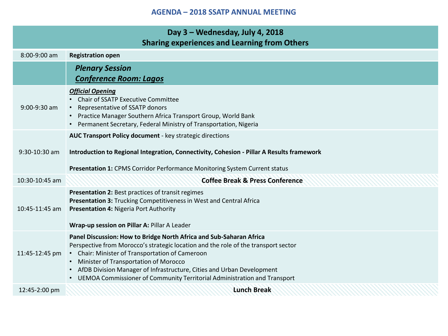| Day 3 - Wednesday, July 4, 2018<br><b>Sharing experiences and Learning from Others</b> |                                                                                                                                                                                                                                                                                                                                                                                                                  |  |
|----------------------------------------------------------------------------------------|------------------------------------------------------------------------------------------------------------------------------------------------------------------------------------------------------------------------------------------------------------------------------------------------------------------------------------------------------------------------------------------------------------------|--|
| $8:00-9:00$ am                                                                         | <b>Registration open</b>                                                                                                                                                                                                                                                                                                                                                                                         |  |
|                                                                                        | <b>Plenary Session</b><br><b>Conference Room: Lagos</b>                                                                                                                                                                                                                                                                                                                                                          |  |
| $9:00-9:30$ am                                                                         | <b>Official Opening</b><br>• Chair of SSATP Executive Committee<br>• Representative of SSATP donors<br>• Practice Manager Southern Africa Transport Group, World Bank<br>• Permanent Secretary, Federal Ministry of Transportation, Nigeria                                                                                                                                                                      |  |
| 9:30-10:30 am                                                                          | AUC Transport Policy document - key strategic directions<br>Introduction to Regional Integration, Connectivity, Cohesion - Pillar A Results framework<br>Presentation 1: CPMS Corridor Performance Monitoring System Current status                                                                                                                                                                              |  |
| $10:30-10:45$ am                                                                       | <b>Coffee Break &amp; Press Conference</b>                                                                                                                                                                                                                                                                                                                                                                       |  |
| $10:45-11:45$ am                                                                       | Presentation 2: Best practices of transit regimes<br>Presentation 3: Trucking Competitiveness in West and Central Africa<br>Presentation 4: Nigeria Port Authority<br>Wrap-up session on Pillar A: Pillar A Leader                                                                                                                                                                                               |  |
| 11:45-12:45 pm                                                                         | Panel Discussion: How to Bridge North Africa and Sub-Saharan Africa<br>Perspective from Morocco's strategic location and the role of the transport sector<br>• Chair: Minister of Transportation of Cameroon<br>• Minister of Transportation of Morocco<br>• AfDB Division Manager of Infrastructure, Cities and Urban Development<br>• UEMOA Commissioner of Community Territorial Administration and Transport |  |
| 12:45-2:00 pm                                                                          | <b>Lunch Break</b>                                                                                                                                                                                                                                                                                                                                                                                               |  |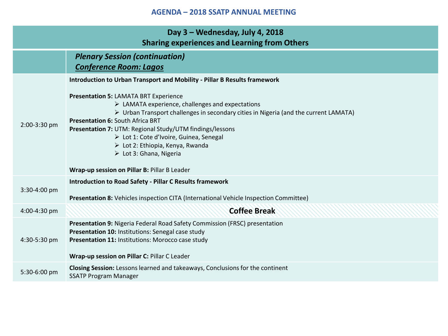| Day 3 - Wednesday, July 4, 2018<br><b>Sharing experiences and Learning from Others</b> |                                                                                                                                                                                                                                                                                                                                                                                                                                                                                                                       |  |
|----------------------------------------------------------------------------------------|-----------------------------------------------------------------------------------------------------------------------------------------------------------------------------------------------------------------------------------------------------------------------------------------------------------------------------------------------------------------------------------------------------------------------------------------------------------------------------------------------------------------------|--|
|                                                                                        | <b>Plenary Session (continuation)</b><br><b>Conference Room: Lagos</b>                                                                                                                                                                                                                                                                                                                                                                                                                                                |  |
|                                                                                        | Introduction to Urban Transport and Mobility - Pillar B Results framework                                                                                                                                                                                                                                                                                                                                                                                                                                             |  |
| 2:00-3:30 pm                                                                           | <b>Presentation 5: LAMATA BRT Experience</b><br>$\triangleright$ LAMATA experience, challenges and expectations<br>$\triangleright$ Urban Transport challenges in secondary cities in Nigeria (and the current LAMATA)<br><b>Presentation 6: South Africa BRT</b><br>Presentation 7: UTM: Regional Study/UTM findings/lessons<br>> Lot 1: Cote d'Ivoire, Guinea, Senegal<br>$\triangleright$ Lot 2: Ethiopia, Kenya, Rwanda<br>$\triangleright$ Lot 3: Ghana, Nigeria<br>Wrap-up session on Pillar B: Pillar B Leader |  |
| 3:30-4:00 pm                                                                           | <b>Introduction to Road Safety - Pillar C Results framework</b><br>Presentation 8: Vehicles inspection CITA (International Vehicle Inspection Committee)                                                                                                                                                                                                                                                                                                                                                              |  |
| 4:00-4:30 pm                                                                           | <b>Coffee Break</b>                                                                                                                                                                                                                                                                                                                                                                                                                                                                                                   |  |
| 4:30-5:30 pm                                                                           | Presentation 9: Nigeria Federal Road Safety Commission (FRSC) presentation<br>Presentation 10: Institutions: Senegal case study<br>Presentation 11: Institutions: Morocco case study<br>Wrap-up session on Pillar C: Pillar C Leader                                                                                                                                                                                                                                                                                  |  |
| 5:30-6:00 pm                                                                           | Closing Session: Lessons learned and takeaways, Conclusions for the continent<br><b>SSATP Program Manager</b>                                                                                                                                                                                                                                                                                                                                                                                                         |  |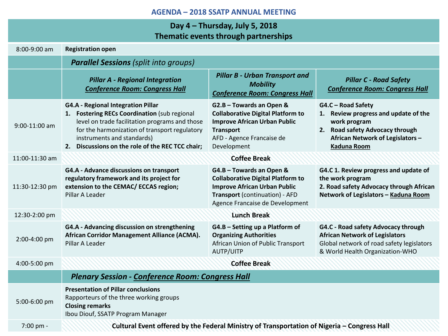# **Day 4 – Thursday, July 5, 2018 Thematic events through partnerships**

|                 |                                                                                                                                                                                                                                                                                | <u>Hielilatic events through partierships</u>                                                                                                                                    |                                                                                                                                                                        |
|-----------------|--------------------------------------------------------------------------------------------------------------------------------------------------------------------------------------------------------------------------------------------------------------------------------|----------------------------------------------------------------------------------------------------------------------------------------------------------------------------------|------------------------------------------------------------------------------------------------------------------------------------------------------------------------|
| 8:00-9:00 am    | <b>Registration open</b>                                                                                                                                                                                                                                                       |                                                                                                                                                                                  |                                                                                                                                                                        |
|                 | <b>Parallel Sessions (split into groups)</b>                                                                                                                                                                                                                                   |                                                                                                                                                                                  |                                                                                                                                                                        |
|                 | <b>Pillar A - Regional Integration</b><br><b>Conference Room: Congress Hall</b>                                                                                                                                                                                                | <b>Pillar B - Urban Transport and</b><br><b>Mobility</b><br><b>Conference Room: Congress Hall</b>                                                                                | <b>Pillar C - Road Safety</b><br><b>Conference Room: Congress Hall</b>                                                                                                 |
| $9:00-11:00$ am | <b>G4.A - Regional Integration Pillar</b><br>1. Fostering RECs Coordination (sub regional<br>level on trade facilitation programs and those<br>for the harmonization of transport regulatory<br>instruments and standards)<br>2. Discussions on the role of the REC TCC chair; | G2.B - Towards an Open &<br><b>Collaborative Digital Platform to</b><br><b>Improve African Urban Public</b><br><b>Transport</b><br>AFD - Agence Francaise de<br>Development      | G4.C - Road Safety<br>1. Review progress and update of the<br>work program<br>2. Road safety Advocacy through<br>African Network of Legislators-<br><b>Kaduna Room</b> |
| 11:00-11:30 am  |                                                                                                                                                                                                                                                                                | <b>Coffee Break</b>                                                                                                                                                              |                                                                                                                                                                        |
| 11:30-12:30 pm  | G4.A - Advance discussions on transport<br>regulatory framework and its project for<br>extension to the CEMAC/ ECCAS region;<br>Pillar A Leader                                                                                                                                | G4.B - Towards an Open &<br><b>Collaborative Digital Platform to</b><br><b>Improve African Urban Public</b><br>Transport (continuation) - AFD<br>Agence Francaise de Development | G4.C 1. Review progress and update of<br>the work program<br>2. Road safety Advocacy through African<br>Network of Legislators - Kaduna Room                           |
| 12:30-2:00 pm   | <b>Lunch Break</b>                                                                                                                                                                                                                                                             |                                                                                                                                                                                  |                                                                                                                                                                        |
| 2:00-4:00 pm    | G4.A - Advancing discussion on strengthening<br>African Corridor Management Alliance (ACMA).<br>Pillar A Leader                                                                                                                                                                | G4.B - Setting up a Platform of<br><b>Organizing Authorities</b><br>African Union of Public Transport<br>AUTP/UITP                                                               | G4.C - Road safety Advocacy through<br><b>African Network of Legislators</b><br>Global network of road safety legislators<br>& World Health Organization-WHO           |
| 4:00-5:00 pm    | <b>Coffee Break</b>                                                                                                                                                                                                                                                            |                                                                                                                                                                                  |                                                                                                                                                                        |
|                 | <b>Plenary Session - Conference Room: Congress Hall</b>                                                                                                                                                                                                                        |                                                                                                                                                                                  |                                                                                                                                                                        |
| 5:00-6:00 pm    | <b>Presentation of Pillar conclusions</b><br>Rapporteurs of the three working groups<br><b>Closing remarks</b><br>Ibou Diouf, SSATP Program Manager                                                                                                                            |                                                                                                                                                                                  |                                                                                                                                                                        |
| 7:00 pm -       |                                                                                                                                                                                                                                                                                | Cultural Event offered by the Federal Ministry of Transportation of Nigeria - Congress Hall                                                                                      |                                                                                                                                                                        |